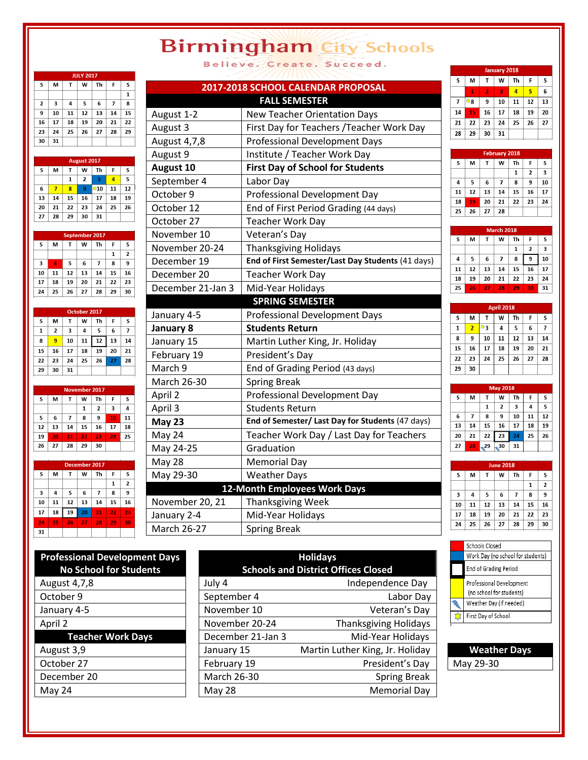## **Birmingham City Schools** Believe. Create. Succeed.

| JULY 2017 |    |    |                    |     |    |    |  |  |
|-----------|----|----|--------------------|-----|----|----|--|--|
| S         | М  | T  | W                  | Th  | F  | S  |  |  |
|           |    |    |                    |     |    | 1  |  |  |
| 2         | 3  | 4  | 5                  | 6   | 7  | 8  |  |  |
| 9         | 10 | 11 | 12                 | 13  | 14 | 15 |  |  |
| 16        | 17 | 18 | 19                 | 20  | 21 | 22 |  |  |
| 23        | 24 | 25 | 26                 | 27  | 28 | 29 |  |  |
| 30        | 31 |    |                    |     |    |    |  |  |
|           |    |    |                    |     |    |    |  |  |
|           |    |    | <b>August 2017</b> |     |    |    |  |  |
| S         | M  | T  | W                  | Th  | F  | S  |  |  |
|           |    | 1  | $\overline{2}$     | 3   | 4  | 5  |  |  |
| 6         | 7  | 8  | 9                  | ❖10 | 11 | 12 |  |  |
| 13        | 14 | 15 | 16                 | 17  | 18 | 19 |  |  |
|           |    |    |                    |     |    |    |  |  |
| 20        | 21 | 22 | 23                 | 24  | 25 | 26 |  |  |

| September 2017 |    |    |    |    |    |    |
|----------------|----|----|----|----|----|----|
| S              | м  | т  | W  | Th | F  | s  |
|                |    |    |    |    | 1  | 2  |
| 3              | 4  | 5  | 6  | 7  | 8  | 9  |
| 10             | 11 | 12 | 13 | 14 | 15 | 16 |
| 17             | 18 | 19 | 20 | 21 | 22 | 23 |
| 24             | 25 | 26 | 27 | 28 | 29 | 30 |
|                |    |    |    |    |    |    |

|              | October 2017 |    |    |    |    |    |  |  |
|--------------|--------------|----|----|----|----|----|--|--|
| S            | м            | т  | W  | Th | F  | S  |  |  |
| $\mathbf{1}$ | 2            | 3  | 4  | 5  | 6  | 7  |  |  |
| 8            | 9            | 10 | 11 | 12 | 13 | 14 |  |  |
| 15           | 16           | 17 | 18 | 19 | 20 | 21 |  |  |
| 22           | 23           | 24 | 25 | 26 | 27 | 28 |  |  |
| 29           | 30           | 31 |    |    |    |    |  |  |
|              |              |    |    |    |    |    |  |  |

| <b>November 2017</b> |    |    |    |    |    |    |  |  |
|----------------------|----|----|----|----|----|----|--|--|
| S                    | М  | т  | W  | Τh | F  | S  |  |  |
|                      |    |    | 1  | 2  | 3  | 4  |  |  |
| 5                    | 6  | 7  | 8  | 9  | 10 | 1: |  |  |
| 12                   | 13 | 14 | 15 | 16 | 17 | 18 |  |  |
| 19                   | 20 | 21 | 22 | 23 | 24 | 2  |  |  |
| 26                   | 27 | 28 | 29 | 30 |    |    |  |  |
|                      |    |    |    |    |    |    |  |  |

| December 2017 |    |    |    |    |    |                |  |
|---------------|----|----|----|----|----|----------------|--|
| S             | M  | Т  | W  | Th | F  | S              |  |
|               |    |    |    |    | 1  | $\overline{2}$ |  |
| 3             | 4  | 5  | 6  | 7  | 8  | 9              |  |
| 10            | 11 | 12 | 13 | 14 | 15 | 16             |  |
| 17            | 18 | 19 | 20 | 21 | 22 | 23             |  |
| 24            | 25 | 26 | 27 | 28 | 29 | 30             |  |
| 31            |    |    |    |    |    |                |  |
|               |    |    |    |    |    |                |  |

|                    | 2017-2018 SCHOOL CALENDAR PROPOSAL                |
|--------------------|---------------------------------------------------|
|                    | <b>FALL SEMESTER</b>                              |
| August 1-2         | <b>New Teacher Orientation Days</b>               |
| August 3           | First Day for Teachers / Teacher Work Day         |
| August 4,7,8       | <b>Professional Development Days</b>              |
| August 9           | Institute / Teacher Work Day                      |
| August 10          | <b>First Day of School for Students</b>           |
| September 4        | Labor Day                                         |
| October 9          | Professional Development Day                      |
| October 12         | End of First Period Grading (44 days)             |
| October 27         | <b>Teacher Work Day</b>                           |
| November 10        | Veteran's Day                                     |
| November 20-24     | Thanksgiving Holidays                             |
| December 19        | End of First Semester/Last Day Students (41 days) |
| December 20        | Teacher Work Day                                  |
| December 21-Jan 3  | Mid-Year Holidays                                 |
|                    | <b>SPRING SEMESTER</b>                            |
| January 4-5        | <b>Professional Development Days</b>              |
| January 8          | <b>Students Return</b>                            |
| January 15         | Martin Luther King, Jr. Holiday                   |
| February 19        | President's Day                                   |
| March 9            | End of Grading Period (43 days)                   |
| March 26-30        | <b>Spring Break</b>                               |
| April 2            | Professional Development Day                      |
| April 3            | <b>Students Return</b>                            |
| <b>May 23</b>      | End of Semester/ Last Day for Students (47 days)  |
| May 24             | Teacher Work Day / Last Day for Teachers          |
| May 24-25          | Graduation                                        |
| <b>May 28</b>      | <b>Memorial Day</b>                               |
| May 29-30          | <b>Weather Days</b>                               |
|                    | 12-Month Employees Work Days                      |
| November 20, 21    | Thanksgiving Week                                 |
| January 2-4        | Mid-Year Holidays                                 |
| <b>March 26-27</b> | <b>Spring Break</b>                               |

| <b>January 2018</b> |    |    |    |                |    |    |  |
|---------------------|----|----|----|----------------|----|----|--|
| S                   | M  | т  | W  | Th             | F  | S  |  |
|                     | 1  | 2  | 3  | $\overline{a}$ | 5  | 6  |  |
| 7                   | *8 | 9  | 10 | 11             | 12 | 13 |  |
| 14                  | 15 | 16 | 17 | 18             | 19 | 20 |  |
| 21                  | 22 | 23 | 24 | 25             | 26 | 27 |  |
| 28                  | 29 | 30 | 31 |                |    |    |  |

| <b>February 2018</b> |    |    |    |    |                |    |  |  |
|----------------------|----|----|----|----|----------------|----|--|--|
| S                    | м  | т  | W  | Τh | F              | S  |  |  |
|                      |    |    |    | 1  | $\overline{2}$ | 3  |  |  |
| 4                    | 5  | 6  | 7  | 8  | 9              | 10 |  |  |
| 11                   | 12 | 13 | 14 | 15 | 16             | 17 |  |  |
| 18                   | 19 | 20 | 21 | 22 | 23             | 24 |  |  |
| 25                   | 26 | 27 | 28 |    |                |    |  |  |
|                      |    |    |    |    |                |    |  |  |

|    | <b>March 2018</b> |    |                |    |                |    |  |  |  |
|----|-------------------|----|----------------|----|----------------|----|--|--|--|
| S  | M                 | т  | W              | Th | F              | s  |  |  |  |
|    |                   |    |                | 1  | $\overline{2}$ | 3  |  |  |  |
| 4  | 5                 | 6  | $\overline{7}$ | 8  | 9              | 10 |  |  |  |
| 11 | 12                | 13 | 14             | 15 | 16             | 17 |  |  |  |
| 18 | 19                | 20 | 21             | 22 | 23             | 24 |  |  |  |
| 25 | 26                | 27 | 28             | 29 | 30             | 31 |  |  |  |

| <b>April 2018</b> |                |    |    |    |    |    |  |  |  |
|-------------------|----------------|----|----|----|----|----|--|--|--|
| S                 | M              | T  | W  | Th | F  | S  |  |  |  |
| $\mathbf{1}$      | $\overline{2}$ | 寧3 | 4  | 5  | 6  | 7  |  |  |  |
| 8                 | 9              | 10 | 11 | 12 | 13 | 14 |  |  |  |
| 15                | 16             | 17 | 18 | 19 | 20 | 21 |  |  |  |
| 22                | 23             | 24 | 25 | 26 | 27 | 28 |  |  |  |
| 29                | 30             |    |    |    |    |    |  |  |  |
|                   |                |    |    |    |    |    |  |  |  |

| <b>May 2018</b> |    |    |    |    |    |    |  |  |
|-----------------|----|----|----|----|----|----|--|--|
| s               | M  | т  | W  | Th | F  | s  |  |  |
|                 |    | 1  | 2  | 3  | 4  | 5  |  |  |
| 6               | 7  | 8  | 9  | 10 | 11 | 12 |  |  |
| 13              | 14 | 15 | 16 | 17 | 18 | 19 |  |  |
| 20              | 21 | 22 | 23 | 24 | 25 | 26 |  |  |
| 27              | 28 | 29 | 30 | 31 |    |    |  |  |

|    | <b>June 2018</b> |    |    |    |    |                |  |  |
|----|------------------|----|----|----|----|----------------|--|--|
| S  | м                | T  | W  | Th | F  | S              |  |  |
|    |                  |    |    |    | 1  | $\overline{2}$ |  |  |
| 3  | 4                | 5  | 6  | 7  | 8  | 9              |  |  |
| 10 | 11               | 12 | 13 | 14 | 15 | 16             |  |  |
| 17 | 18               | 19 | 20 | 21 | 22 | 23             |  |  |
| 24 | 25               | 26 | 27 | 28 | 29 | 30             |  |  |

| <b>Professional Development Days</b> |  |  |  |
|--------------------------------------|--|--|--|
| <b>No School for Students</b>        |  |  |  |
| August 4,7,8                         |  |  |  |
| October 9                            |  |  |  |
| January 4-5                          |  |  |  |
| April 2                              |  |  |  |
| <b>Teacher Work Days</b>             |  |  |  |
| August 3,9                           |  |  |  |
| October 27                           |  |  |  |
| December 20                          |  |  |  |
|                                      |  |  |  |

| <b>Professional Development Days</b><br><b>No School for Students</b> | <b>Holidays</b><br><b>Schools and District Offices Closed</b> |                                 |  |
|-----------------------------------------------------------------------|---------------------------------------------------------------|---------------------------------|--|
| August 4,7,8                                                          | July 4                                                        | Independence Day                |  |
| October 9                                                             | September 4                                                   | Labor Day                       |  |
| January 4-5                                                           | November 10                                                   | Veteran's Day                   |  |
| April 2                                                               | November 20-24                                                | <b>Thanksgiving Holidays</b>    |  |
| <b>Teacher Work Days</b>                                              | December 21-Jan 3                                             | Mid-Year Holidays               |  |
| August 3,9                                                            | January 15                                                    | Martin Luther King, Jr. Holiday |  |
| October 27                                                            | February 19                                                   | President's Day                 |  |
| December 20                                                           | March 26-30                                                   | <b>Spring Break</b>             |  |
| May 24                                                                | <b>May 28</b>                                                 | <b>Memorial Day</b>             |  |

| Schools Closed                                       |
|------------------------------------------------------|
| Work Day (no school for students)                    |
| End of Grading Period                                |
| Professional Development<br>(no school for students) |
| Weather Day (if needed)                              |
| First Day of School                                  |

**Weather Days** May 29-30